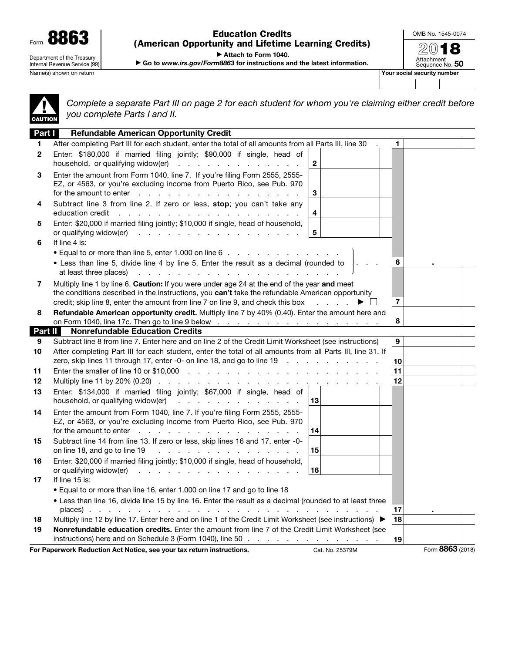Form 8863 Department of the Treasury Internal Revenue Service (99)

Education Credits (American Opportunity and Lifetime Learning Credits) OMB No. 1545-0074 2018

Attachment<br>Sequence No. **50** 

▶ Attach to Form 1040.

▶ Go to *www.irs.gov/Form8863* for instructions and the latest information.

Name(s) shown on return **Your social security number**  $\blacksquare$ 

▲! CAUTION

*Complete a separate Part III on page 2 for each student for whom you're claiming either credit before you complete Parts I and II.*

| Part I       | <b>Refundable American Opportunity Credit</b>                                                                                                                                                                                                                                                                 |          |  |  |  |
|--------------|---------------------------------------------------------------------------------------------------------------------------------------------------------------------------------------------------------------------------------------------------------------------------------------------------------------|----------|--|--|--|
| 1            | After completing Part III for each student, enter the total of all amounts from all Parts III, line 30                                                                                                                                                                                                        | 1        |  |  |  |
| $\mathbf{2}$ | Enter: \$180,000 if married filing jointly; \$90,000 if single, head of<br>household, or qualifying widow(er)<br>$\overline{\mathbf{c}}$                                                                                                                                                                      |          |  |  |  |
| 3            | Enter the amount from Form 1040, line 7. If you're filing Form 2555, 2555-<br>EZ, or 4563, or you're excluding income from Puerto Rico, see Pub. 970<br>3<br>for the amount to enter $\cdots$ $\cdots$ $\cdots$ $\cdots$ $\cdots$ $\cdots$ $\cdots$ $\cdots$                                                  |          |  |  |  |
| 4            | Subtract line 3 from line 2. If zero or less, stop; you can't take any<br>education credit references and contact the contact of the contact of the contact of the contact of the contact of the contact of the contact of the contact of the contact of the contact of the contact of the contact of th<br>4 |          |  |  |  |
| 5            | Enter: \$20,000 if married filing jointly; \$10,000 if single, head of household,<br>5<br>or qualifying widow(er)<br>the contract of the contract of the contract of the                                                                                                                                      |          |  |  |  |
| 6            | If line 4 is:                                                                                                                                                                                                                                                                                                 |          |  |  |  |
|              | • Equal to or more than line 5, enter 1.000 on line 6                                                                                                                                                                                                                                                         |          |  |  |  |
|              | • Less than line 5, divide line 4 by line 5. Enter the result as a decimal (rounded to<br>والمتواطن والمتواطن والمتواطن والمتواطن والمتواطن والمتواطن والمتواطن<br>at least three places)                                                                                                                     | 6        |  |  |  |
| 7            | Multiply line 1 by line 6. Caution: If you were under age 24 at the end of the year and meet<br>the conditions described in the instructions, you can't take the refundable American opportunity<br>credit; skip line 8, enter the amount from line 7 on line 9, and check this box<br>▶ □                    | 7        |  |  |  |
| 8            | Refundable American opportunity credit. Multiply line 7 by 40% (0.40). Enter the amount here and<br>on Form 1040, line 17c. Then go to line 9 below $\ldots$ $\ldots$ $\ldots$ $\ldots$ $\ldots$ $\ldots$ $\ldots$                                                                                            | 8        |  |  |  |
| Part II      | <b>Nonrefundable Education Credits</b>                                                                                                                                                                                                                                                                        |          |  |  |  |
| 9            | 9<br>Subtract line 8 from line 7. Enter here and on line 2 of the Credit Limit Worksheet (see instructions)                                                                                                                                                                                                   |          |  |  |  |
| 10           | After completing Part III for each student, enter the total of all amounts from all Parts III, line 31. If<br>zero, skip lines 11 through 17, enter -0- on line 18, and go to line 19                                                                                                                         |          |  |  |  |
|              |                                                                                                                                                                                                                                                                                                               | 10<br>11 |  |  |  |
| 11<br>12     |                                                                                                                                                                                                                                                                                                               | 12       |  |  |  |
| 13           | Enter: \$134,000 if married filing jointly; \$67,000 if single, head of                                                                                                                                                                                                                                       |          |  |  |  |
|              | household, or qualifying widow(er)<br>13<br>the contract of the contract of the contract of                                                                                                                                                                                                                   |          |  |  |  |
| 14           | Enter the amount from Form 1040, line 7. If you're filing Form 2555, 2555-<br>EZ, or 4563, or you're excluding income from Puerto Rico, see Pub. 970                                                                                                                                                          |          |  |  |  |
|              | for the amount to enter $\cdots$ $\cdots$ $\cdots$ $\cdots$ $\cdots$ $\cdots$ $\cdots$ $\cdots$<br>14                                                                                                                                                                                                         |          |  |  |  |
| 15           | Subtract line 14 from line 13. If zero or less, skip lines 16 and 17, enter -0-<br>15<br>on line 18, and go to line 19 $\ldots$ $\ldots$ $\ldots$ $\ldots$ $\ldots$ $\ldots$ $\ldots$                                                                                                                         |          |  |  |  |
| 16           | Enter: \$20,000 if married filing jointly; \$10,000 if single, head of household,<br>or qualifying widow(er)<br>de la característica de la característica de la<br>16                                                                                                                                         |          |  |  |  |
| 17           | If line 15 is:                                                                                                                                                                                                                                                                                                |          |  |  |  |
|              | • Equal to or more than line 16, enter 1.000 on line 17 and go to line 18                                                                                                                                                                                                                                     |          |  |  |  |
|              | . Less than line 16, divide line 15 by line 16. Enter the result as a decimal (rounded to at least three                                                                                                                                                                                                      |          |  |  |  |
|              |                                                                                                                                                                                                                                                                                                               | 17       |  |  |  |
| 18           | Multiply line 12 by line 17. Enter here and on line 1 of the Credit Limit Worksheet (see instructions) ▶                                                                                                                                                                                                      | 18       |  |  |  |
| 19           | Nonrefundable education credits. Enter the amount from line 7 of the Credit Limit Worksheet (see                                                                                                                                                                                                              |          |  |  |  |
|              | instructions) here and on Schedule 3 (Form 1040), line 50                                                                                                                                                                                                                                                     | 19       |  |  |  |
|              | Form 8863 (2018)<br>For Paperwork Reduction Act Notice, see your tax return instructions.<br>Cat. No. 25379M                                                                                                                                                                                                  |          |  |  |  |